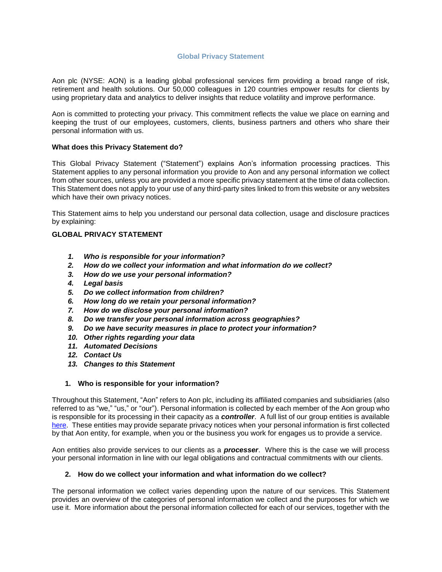# **Global Privacy Statement**

<span id="page-0-0"></span>Aon plc (NYSE: AON) is a leading global professional services firm providing a broad range of risk, retirement and health solutions. Our 50,000 colleagues in 120 countries empower results for clients by using proprietary data and analytics to deliver insights that reduce volatility and improve performance.

Aon is committed to protecting your privacy. This commitment reflects the value we place on earning and keeping the trust of our employees, customers, clients, business partners and others who share their personal information with us.

# **What does this Privacy Statement do?**

This Global Privacy Statement ("Statement") explains Aon's information processing practices. This Statement applies to any personal information you provide to Aon and any personal information we collect from other sources, unless you are provided a more specific privacy statement at the time of data collection. This Statement does not apply to your use of any third-party sites linked to from this website or any websites which have their own privacy notices.

This Statement aims to help you understand our personal data collection, usage and disclosure practices by explaining:

# **[GLOBAL PRIVACY STATEMENT](#page-0-0)**

- *1. [Who is responsible for your information?](#page-0-1)*
- *2. [How do we collect your information and what information do we collect?](#page-0-2)*
- *3. [How do we use your personal information?](#page-2-0)*
- *4. [Legal basis](#page-3-0)*
- *5. [Do we collect information from children?](#page-5-0)*
- *6. [How long do we retain your personal information?](#page-5-1)*
- *7. [How do we disclose your personal information?](#page-5-2)*
- *8. [Do we transfer your personal information across geographies?](#page-6-0)*
- *9. [Do we have security measures in place to protect your information?](#page-6-1)*
- *10. [Other rights regarding your data](#page-7-0)*
- *[11. Automated Decisions](#page-8-0)*
- *[12. Contact Us](#page-8-1)*
- *[13. Changes to this Statement](#page-8-2)*

# <span id="page-0-1"></span>**1. Who is responsible for your information?**

Throughout this Statement, "Aon" refers to Aon plc, including its affiliated companies and subsidiaries (also referred to as "we," "us," or "our"). Personal information is collected by each member of the Aon group who is responsible for its processing in their capacity as a *controller*. A full list of our group entities is available [here.](https://www.aon.com/site/aonworldwide.jsp) These entities may provide separate privacy notices when your personal information is first collected by that Aon entity, for example, when you or the business you work for engages us to provide a service.

Aon entities also provide services to our clients as a *processer*. Where this is the case we will process your personal information in line with our legal obligations and contractual commitments with our clients.

# <span id="page-0-2"></span>**2. How do we collect your information and what information do we collect?**

The personal information we collect varies depending upon the nature of our services. This Statement provides an overview of the categories of personal information we collect and the purposes for which we use it. More information about the personal information collected for each of our services, together with the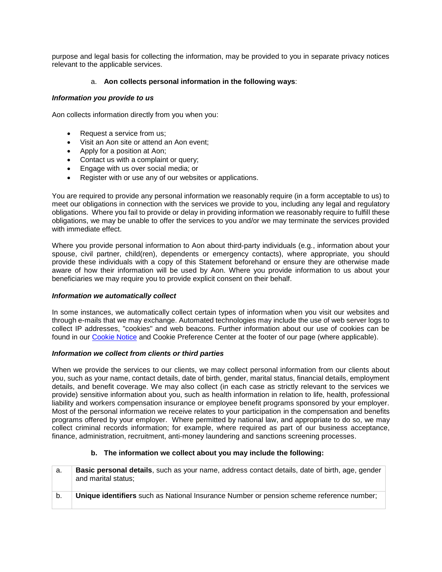purpose and legal basis for collecting the information, may be provided to you in separate privacy notices relevant to the applicable services.

# a. **Aon collects personal information in the following ways**:

# *Information you provide to us*

Aon collects information directly from you when you:

- Request a service from us:
- Visit an Aon site or attend an Aon event;
- Apply for a position at Aon;
- Contact us with a complaint or query;
- Engage with us over social media; or
- Register with or use any of our websites or applications.

You are required to provide any personal information we reasonably require (in a form acceptable to us) to meet our obligations in connection with the services we provide to you, including any legal and regulatory obligations. Where you fail to provide or delay in providing information we reasonably require to fulfill these obligations, we may be unable to offer the services to you and/or we may terminate the services provided with immediate effect.

Where you provide personal information to Aon about third-party individuals (e.g., information about your spouse, civil partner, child(ren), dependents or emergency contacts), where appropriate, you should provide these individuals with a copy of this Statement beforehand or ensure they are otherwise made aware of how their information will be used by Aon. Where you provide information to us about your beneficiaries we may require you to provide explicit consent on their behalf.

# *Information we automatically collect*

In some instances, we automatically collect certain types of information when you visit our websites and through e-mails that we may exchange. Automated technologies may include the use of web server logs to collect IP addresses, "cookies" and web beacons. Further information about our use of cookies can be found in our [Cookie Notice](https://www.aon.com/about-aon/cookies.jsp) and Cookie Preference Center at the footer of our page (where applicable).

# *Information we collect from clients or third parties*

When we provide the services to our clients, we may collect personal information from our clients about you, such as your name, contact details, date of birth, gender, marital status, financial details, employment details, and benefit coverage. We may also collect (in each case as strictly relevant to the services we provide) sensitive information about you, such as health information in relation to life, health, professional liability and workers compensation insurance or employee benefit programs sponsored by your employer. Most of the personal information we receive relates to your participation in the compensation and benefits programs offered by your employer. Where permitted by national law, and appropriate to do so, we may collect criminal records information; for example, where required as part of our business acceptance, finance, administration, recruitment, anti-money laundering and sanctions screening processes.

# **b. The information we collect about you may include the following:**

| а. | <b>Basic personal details</b> , such as your name, address contact details, date of birth, age, gender<br>and marital status; |
|----|-------------------------------------------------------------------------------------------------------------------------------|
|    | Unique identifiers such as National Insurance Number or pension scheme reference number;                                      |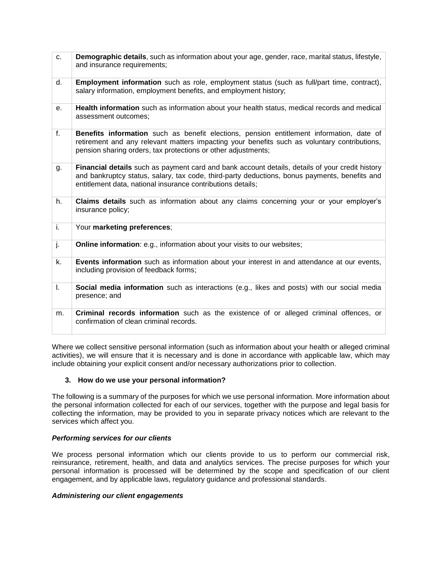| C.           | Demographic details, such as information about your age, gender, race, marital status, lifestyle,<br>and insurance requirements;                                                                                                                                |
|--------------|-----------------------------------------------------------------------------------------------------------------------------------------------------------------------------------------------------------------------------------------------------------------|
| d.           | Employment information such as role, employment status (such as full/part time, contract),<br>salary information, employment benefits, and employment history;                                                                                                  |
| е.           | Health information such as information about your health status, medical records and medical<br>assessment outcomes;                                                                                                                                            |
| f.           | Benefits information such as benefit elections, pension entitlement information, date of<br>retirement and any relevant matters impacting your benefits such as voluntary contributions,<br>pension sharing orders, tax protections or other adjustments;       |
| g.           | Financial details such as payment card and bank account details, details of your credit history<br>and bankruptcy status, salary, tax code, third-party deductions, bonus payments, benefits and<br>entitlement data, national insurance contributions details; |
| h.           | <b>Claims details</b> such as information about any claims concerning your or your employer's<br>insurance policy;                                                                                                                                              |
| i.           | Your marketing preferences;                                                                                                                                                                                                                                     |
| j.           | <b>Online information:</b> e.g., information about your visits to our websites;                                                                                                                                                                                 |
| k.           | Events information such as information about your interest in and attendance at our events,<br>including provision of feedback forms;                                                                                                                           |
| $\mathsf{L}$ | Social media information such as interactions (e.g., likes and posts) with our social media<br>presence; and                                                                                                                                                    |
| m.           | Criminal records information such as the existence of or alleged criminal offences, or<br>confirmation of clean criminal records.                                                                                                                               |

Where we collect sensitive personal information (such as information about your health or alleged criminal activities), we will ensure that it is necessary and is done in accordance with applicable law, which may include obtaining your explicit consent and/or necessary authorizations prior to collection.

# <span id="page-2-0"></span>**3. How do we use your personal information?**

The following is a summary of the purposes for which we use personal information. More information about the personal information collected for each of our services, together with the purpose and legal basis for collecting the information, may be provided to you in separate privacy notices which are relevant to the services which affect you.

# *Performing services for our clients*

We process personal information which our clients provide to us to perform our commercial risk, reinsurance, retirement, health, and data and analytics services. The precise purposes for which your personal information is processed will be determined by the scope and specification of our client engagement, and by applicable laws, regulatory guidance and professional standards.

# *Administering our client engagements*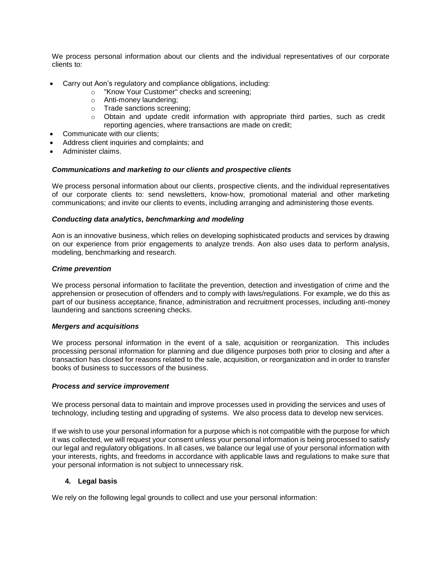We process personal information about our clients and the individual representatives of our corporate clients to:

- Carry out Aon's regulatory and compliance obligations, including:
	- o "Know Your Customer" checks and screening;
	- o Anti-money laundering;
	- o Trade sanctions screening;
	- $\circ$  Obtain and update credit information with appropriate third parties, such as credit reporting agencies, where transactions are made on credit;
- Communicate with our clients;
- Address client inquiries and complaints; and
- Administer claims.

# *Communications and marketing to our clients and prospective clients*

We process personal information about our clients, prospective clients, and the individual representatives of our corporate clients to: send newsletters, know-how, promotional material and other marketing communications; and invite our clients to events, including arranging and administering those events.

# *Conducting data analytics, benchmarking and modeling*

Aon is an innovative business, which relies on developing sophisticated products and services by drawing on our experience from prior engagements to analyze trends. Aon also uses data to perform analysis, modeling, benchmarking and research.

# *Crime prevention*

We process personal information to facilitate the prevention, detection and investigation of crime and the apprehension or prosecution of offenders and to comply with laws/regulations. For example, we do this as part of our business acceptance, finance, administration and recruitment processes, including anti-money laundering and sanctions screening checks.

# *Mergers and acquisitions*

We process personal information in the event of a sale, acquisition or reorganization. This includes processing personal information for planning and due diligence purposes both prior to closing and after a transaction has closed for reasons related to the sale, acquisition, or reorganization and in order to transfer books of business to successors of the business.

#### *Process and service improvement*

We process personal data to maintain and improve processes used in providing the services and uses of technology, including testing and upgrading of systems. We also process data to develop new services.

If we wish to use your personal information for a purpose which is not compatible with the purpose for which it was collected, we will request your consent unless your personal information is being processed to satisfy our legal and regulatory obligations. In all cases, we balance our legal use of your personal information with your interests, rights, and freedoms in accordance with applicable laws and regulations to make sure that your personal information is not subject to unnecessary risk.

# <span id="page-3-0"></span>**4. Legal basis**

We rely on the following legal grounds to collect and use your personal information: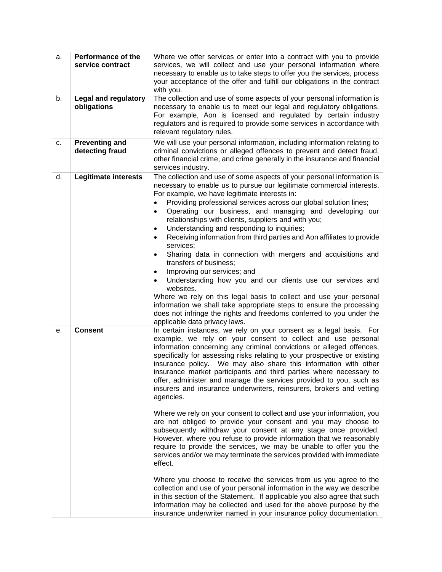| a.<br>b. | Performance of the<br>service contract<br><b>Legal and regulatory</b><br>obligations | Where we offer services or enter into a contract with you to provide<br>services, we will collect and use your personal information where<br>necessary to enable us to take steps to offer you the services, process<br>your acceptance of the offer and fulfill our obligations in the contract<br>with you.<br>The collection and use of some aspects of your personal information is<br>necessary to enable us to meet our legal and regulatory obligations.<br>For example, Aon is licensed and regulated by certain industry<br>regulators and is required to provide some services in accordance with                                                                                                                                                                                                                                                                                                                                                                                                                                                                                                                                                                                                                                                                                                                                                                                                        |
|----------|--------------------------------------------------------------------------------------|--------------------------------------------------------------------------------------------------------------------------------------------------------------------------------------------------------------------------------------------------------------------------------------------------------------------------------------------------------------------------------------------------------------------------------------------------------------------------------------------------------------------------------------------------------------------------------------------------------------------------------------------------------------------------------------------------------------------------------------------------------------------------------------------------------------------------------------------------------------------------------------------------------------------------------------------------------------------------------------------------------------------------------------------------------------------------------------------------------------------------------------------------------------------------------------------------------------------------------------------------------------------------------------------------------------------------------------------------------------------------------------------------------------------|
| c.       | <b>Preventing and</b>                                                                | relevant regulatory rules.<br>We will use your personal information, including information relating to                                                                                                                                                                                                                                                                                                                                                                                                                                                                                                                                                                                                                                                                                                                                                                                                                                                                                                                                                                                                                                                                                                                                                                                                                                                                                                             |
|          | detecting fraud                                                                      | criminal convictions or alleged offences to prevent and detect fraud,<br>other financial crime, and crime generally in the insurance and financial<br>services industry.                                                                                                                                                                                                                                                                                                                                                                                                                                                                                                                                                                                                                                                                                                                                                                                                                                                                                                                                                                                                                                                                                                                                                                                                                                           |
| d.       | <b>Legitimate interests</b>                                                          | The collection and use of some aspects of your personal information is<br>necessary to enable us to pursue our legitimate commercial interests.<br>For example, we have legitimate interests in:<br>Providing professional services across our global solution lines;<br>$\bullet$<br>Operating our business, and managing and developing our<br>$\bullet$<br>relationships with clients, suppliers and with you;<br>Understanding and responding to inquiries;<br>$\bullet$<br>Receiving information from third parties and Aon affiliates to provide<br>$\bullet$<br>services:<br>Sharing data in connection with mergers and acquisitions and<br>$\bullet$<br>transfers of business;<br>Improving our services; and<br>$\bullet$<br>Understanding how you and our clients use our services and<br>websites.<br>Where we rely on this legal basis to collect and use your personal<br>information we shall take appropriate steps to ensure the processing<br>does not infringe the rights and freedoms conferred to you under the<br>applicable data privacy laws.                                                                                                                                                                                                                                                                                                                                              |
| е.       | <b>Consent</b>                                                                       | In certain instances, we rely on your consent as a legal basis. For<br>example, we rely on your consent to collect and use personal<br>information concerning any criminal convictions or alleged offences,<br>specifically for assessing risks relating to your prospective or existing<br>insurance policy. We may also share this information with other<br>insurance market participants and third parties where necessary to<br>offer, administer and manage the services provided to you, such as<br>insurers and insurance underwriters, reinsurers, brokers and vetting<br>agencies.<br>Where we rely on your consent to collect and use your information, you<br>are not obliged to provide your consent and you may choose to<br>subsequently withdraw your consent at any stage once provided.<br>However, where you refuse to provide information that we reasonably<br>require to provide the services, we may be unable to offer you the<br>services and/or we may terminate the services provided with immediate<br>effect.<br>Where you choose to receive the services from us you agree to the<br>collection and use of your personal information in the way we describe<br>in this section of the Statement. If applicable you also agree that such<br>information may be collected and used for the above purpose by the<br>insurance underwriter named in your insurance policy documentation. |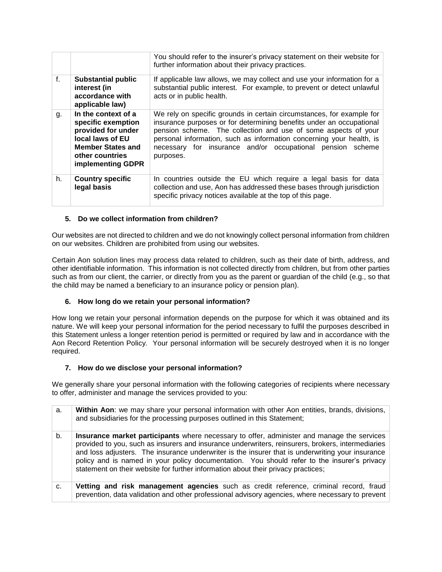|    |                                                                                                                                                         | You should refer to the insurer's privacy statement on their website for<br>further information about their privacy practices.                                                                                                                                                                                                                                     |
|----|---------------------------------------------------------------------------------------------------------------------------------------------------------|--------------------------------------------------------------------------------------------------------------------------------------------------------------------------------------------------------------------------------------------------------------------------------------------------------------------------------------------------------------------|
| f. | <b>Substantial public</b><br>interest (in<br>accordance with<br>applicable law)                                                                         | If applicable law allows, we may collect and use your information for a<br>substantial public interest. For example, to prevent or detect unlawful<br>acts or in public health.                                                                                                                                                                                    |
| g. | In the context of a<br>specific exemption<br>provided for under<br>local laws of EU<br><b>Member States and</b><br>other countries<br>implementing GDPR | We rely on specific grounds in certain circumstances, for example for<br>insurance purposes or for determining benefits under an occupational<br>pension scheme. The collection and use of some aspects of your<br>personal information, such as information concerning your health, is<br>necessary for insurance and/or occupational pension scheme<br>purposes. |
| h. | <b>Country specific</b><br>legal basis                                                                                                                  | In countries outside the EU which require a legal basis for data<br>collection and use, Aon has addressed these bases through jurisdiction<br>specific privacy notices available at the top of this page.                                                                                                                                                          |

# <span id="page-5-0"></span>**5. Do we collect information from children?**

Our websites are not directed to children and we do not knowingly collect personal information from children on our websites. Children are prohibited from using our websites.

Certain Aon solution lines may process data related to children, such as their date of birth, address, and other identifiable information. This information is not collected directly from children, but from other parties such as from our client, the carrier, or directly from you as the parent or guardian of the child (e.g., so that the child may be named a beneficiary to an insurance policy or pension plan).

# <span id="page-5-1"></span>**6. How long do we retain your personal information?**

How long we retain your personal information depends on the purpose for which it was obtained and its nature. We will keep your personal information for the period necessary to fulfil the purposes described in this Statement unless a longer retention period is permitted or required by law and in accordance with the Aon Record Retention Policy. Your personal information will be securely destroyed when it is no longer required.

# <span id="page-5-2"></span>**7. How do we disclose your personal information?**

We generally share your personal information with the following categories of recipients where necessary to offer, administer and manage the services provided to you:

| a. | Within Aon: we may share your personal information with other Aon entities, brands, divisions,<br>and subsidiaries for the processing purposes outlined in this Statement;                                                                                                                                                                                                                                                                                                              |
|----|-----------------------------------------------------------------------------------------------------------------------------------------------------------------------------------------------------------------------------------------------------------------------------------------------------------------------------------------------------------------------------------------------------------------------------------------------------------------------------------------|
| b. | Insurance market participants where necessary to offer, administer and manage the services<br>provided to you, such as insurers and insurance underwriters, reinsurers, brokers, intermediaries<br>and loss adjusters. The insurance underwriter is the insurer that is underwriting your insurance<br>policy and is named in your policy documentation. You should refer to the insurer's privacy<br>statement on their website for further information about their privacy practices; |
| C. | Vetting and risk management agencies such as credit reference, criminal record, fraud<br>prevention, data validation and other professional advisory agencies, where necessary to prevent                                                                                                                                                                                                                                                                                               |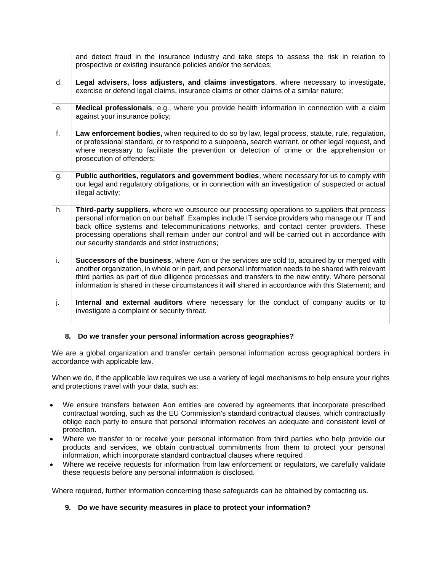|    | and detect fraud in the insurance industry and take steps to assess the risk in relation to<br>prospective or existing insurance policies and/or the services;                                                                                                                                                                                                                                                                                     |
|----|----------------------------------------------------------------------------------------------------------------------------------------------------------------------------------------------------------------------------------------------------------------------------------------------------------------------------------------------------------------------------------------------------------------------------------------------------|
| d. | Legal advisers, loss adjusters, and claims investigators, where necessary to investigate,<br>exercise or defend legal claims, insurance claims or other claims of a similar nature;                                                                                                                                                                                                                                                                |
| е. | Medical professionals, e.g., where you provide health information in connection with a claim<br>against your insurance policy;                                                                                                                                                                                                                                                                                                                     |
| f. | Law enforcement bodies, when required to do so by law, legal process, statute, rule, regulation,<br>or professional standard, or to respond to a subpoena, search warrant, or other legal request, and<br>where necessary to facilitate the prevention or detection of crime or the apprehension or<br>prosecution of offenders;                                                                                                                   |
| g. | Public authorities, regulators and government bodies, where necessary for us to comply with<br>our legal and regulatory obligations, or in connection with an investigation of suspected or actual<br>illegal activity;                                                                                                                                                                                                                            |
| h. | Third-party suppliers, where we outsource our processing operations to suppliers that process<br>personal information on our behalf. Examples include IT service providers who manage our IT and<br>back office systems and telecommunications networks, and contact center providers. These<br>processing operations shall remain under our control and will be carried out in accordance with<br>our security standards and strict instructions; |
| i. | Successors of the business, where Aon or the services are sold to, acquired by or merged with<br>another organization, in whole or in part, and personal information needs to be shared with relevant<br>third parties as part of due diligence processes and transfers to the new entity. Where personal<br>information is shared in these circumstances it will shared in accordance with this Statement; and                                    |
| j. | Internal and external auditors where necessary for the conduct of company audits or to<br>investigate a complaint or security threat.                                                                                                                                                                                                                                                                                                              |

# <span id="page-6-0"></span>**8. Do we transfer your personal information across geographies?**

We are a global organization and transfer certain personal information across geographical borders in accordance with applicable law.

When we do, if the applicable law requires we use a variety of legal mechanisms to help ensure your rights and protections travel with your data, such as:

- We ensure transfers between Aon entities are covered by agreements that incorporate prescribed contractual wording, such as the EU Commission's standard contractual clauses, which contractually oblige each party to ensure that personal information receives an adequate and consistent level of protection.
- Where we transfer to or receive your personal information from third parties who help provide our products and services, we obtain contractual commitments from them to protect your personal information, which incorporate standard contractual clauses where required.
- Where we receive requests for information from law enforcement or regulators, we carefully validate these requests before any personal information is disclosed.

Where required, further information concerning these safeguards can be obtained by contacting us.

<span id="page-6-1"></span>**9. Do we have security measures in place to protect your information?**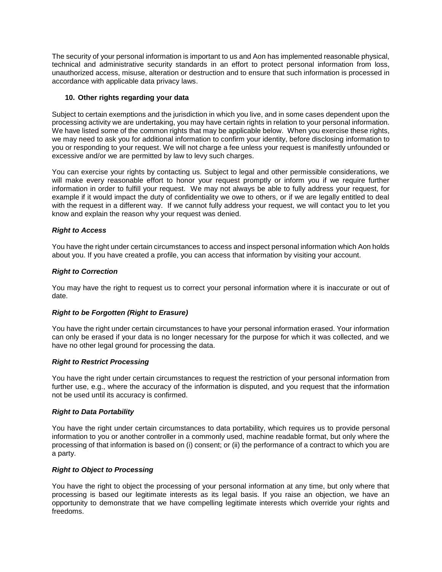The security of your personal information is important to us and Aon has implemented reasonable physical, technical and administrative security standards in an effort to protect personal information from loss, unauthorized access, misuse, alteration or destruction and to ensure that such information is processed in accordance with applicable data privacy laws.

# <span id="page-7-0"></span>**10. Other rights regarding your data**

Subject to certain exemptions and the jurisdiction in which you live, and in some cases dependent upon the processing activity we are undertaking, you may have certain rights in relation to your personal information. We have listed some of the common rights that may be applicable below. When you exercise these rights, we may need to ask you for additional information to confirm your identity, before disclosing information to you or responding to your request. We will not charge a fee unless your request is manifestly unfounded or excessive and/or we are permitted by law to levy such charges.

You can exercise your rights by contacting us. Subject to legal and other permissible considerations, we will make every reasonable effort to honor your request promptly or inform you if we require further information in order to fulfill your request. We may not always be able to fully address your request, for example if it would impact the duty of confidentiality we owe to others, or if we are legally entitled to deal with the request in a different way. If we cannot fully address your request, we will contact you to let you know and explain the reason why your request was denied.

# *Right to Access*

You have the right under certain circumstances to access and inspect personal information which Aon holds about you. If you have created a profile, you can access that information by visiting your account.

# *Right to Correction*

You may have the right to request us to correct your personal information where it is inaccurate or out of date.

# *Right to be Forgotten (Right to Erasure)*

You have the right under certain circumstances to have your personal information erased. Your information can only be erased if your data is no longer necessary for the purpose for which it was collected, and we have no other legal ground for processing the data.

# *Right to Restrict Processing*

You have the right under certain circumstances to request the restriction of your personal information from further use, e.g., where the accuracy of the information is disputed, and you request that the information not be used until its accuracy is confirmed.

# *Right to Data Portability*

You have the right under certain circumstances to data portability, which requires us to provide personal information to you or another controller in a commonly used, machine readable format, but only where the processing of that information is based on (i) consent; or (ii) the performance of a contract to which you are a party.

# *Right to Object to Processing*

You have the right to object the processing of your personal information at any time, but only where that processing is based our legitimate interests as its legal basis. If you raise an objection, we have an opportunity to demonstrate that we have compelling legitimate interests which override your rights and freedoms.